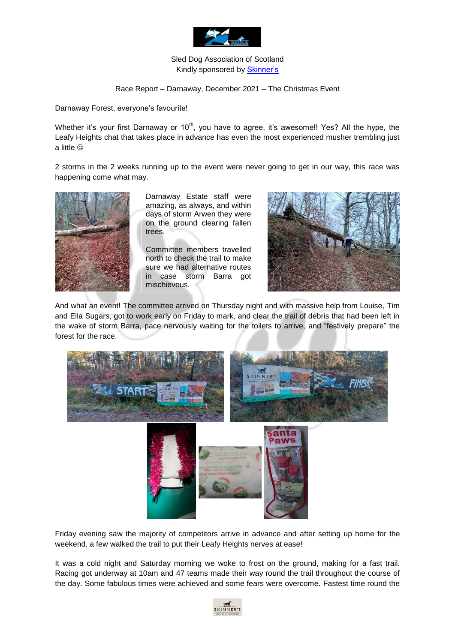

## Sled Dog Association of Scotland Kindly sponsored by [Skinner's](https://www.skinners.co.uk/?gclid=CjwKCAjwoP6LBhBlEiwAvCcthBIgNOnbVKr3-s-yaFKz_eJzqblc2wMBsHYtUP1f08wYuan_622zgBoCG30QAvD_BwE)

## Race Report – Darnaway, December 2021 – The Christmas Event

Darnaway Forest, everyone's favourite!

Whether it's your first Darnaway or 10<sup>th</sup>, you have to agree, it's awesome!! Yes? All the hype, the Leafy Heights chat that takes place in advance has even the most experienced musher trembling just a little

2 storms in the 2 weeks running up to the event were never going to get in our way, this race was happening come what may.



Darnaway Estate staff were amazing, as always, and within days of storm Arwen they were on the ground clearing fallen trees.

Committee members travelled north to check the trail to make sure we had alternative routes in case storm Barra got mischievous.



And what an event! The committee arrived on Thursday night and with massive help from Louise, Tim and Ella Sugars, got to work early on Friday to mark, and clear the trail of debris that had been left in the wake of storm Barra, pace nervously waiting for the toilets to arrive, and "festively prepare" the forest for the race.





Friday evening saw the majority of competitors arrive in advance and after setting up home for the weekend, a few walked the trail to put their Leafy Heights nerves at ease!

It was a cold night and Saturday morning we woke to frost on the ground, making for a fast trail. Racing got underway at 10am and 47 teams made their way round the trail throughout the course of the day. Some fabulous times were achieved and some fears were overcome. Fastest time round the

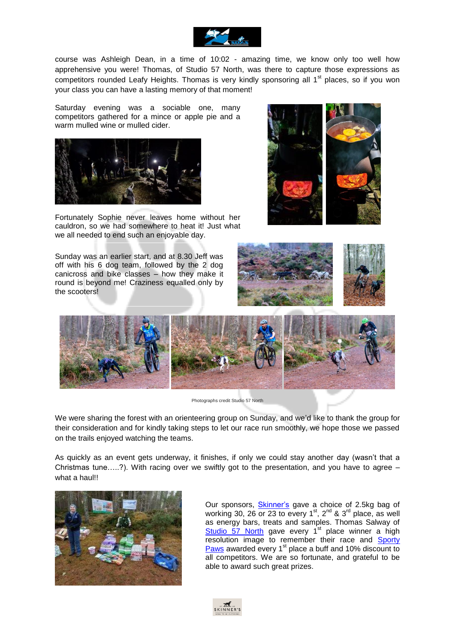

course was Ashleigh Dean, in a time of 10:02 - amazing time, we know only too well how apprehensive you were! Thomas, of Studio 57 North, was there to capture those expressions as competitors rounded Leafy Heights. Thomas is very kindly sponsoring all  $1<sup>st</sup>$  places, so if you won your class you can have a lasting memory of that moment!

Saturday evening was a sociable one, many competitors gathered for a mince or apple pie and a warm mulled wine or mulled cider.



Fortunately Sophie never leaves home without her cauldron, so we had somewhere to heat it! Just what we all needed to end such an enjoyable day.

Sunday was an earlier start, and at 8.30 Jeff was off with his 6 dog team, followed by the 2 dog canicross and bike classes – how they make it round is beyond me! Craziness equalled only by the scooters!







Photographs credit Studio 57 North

We were sharing the forest with an orienteering group on Sunday, and we'd like to thank the group for their consideration and for kindly taking steps to let our race run smoothly, we hope those we passed on the trails enjoyed watching the teams.

As quickly as an event gets underway, it finishes, if only we could stay another day (wasn't that a Christmas tune…..?). With racing over we swiftly got to the presentation, and you have to agree – what a haul!!



Our sponsors, **Skinner's** gave a choice of 2.5kg bag of working 30, 26 or 23 to every  $1<sup>st</sup>$ ,  $2<sup>nd</sup>$  &  $3<sup>rd</sup>$  place, as well as energy bars, treats and samples. Thomas Salway of  $Studio$  57 North gave every  $1<sup>st</sup>$  place winner a high resolution image to remember their race and [Sporty](https://sportypaws.co.uk/contact-us/?v=79cba1185463)  [Paws](https://sportypaws.co.uk/contact-us/?v=79cba1185463) awarded every 1<sup>st</sup> place a buff and 10% discount to all competitors. We are so fortunate, and grateful to be able to award such great prizes.